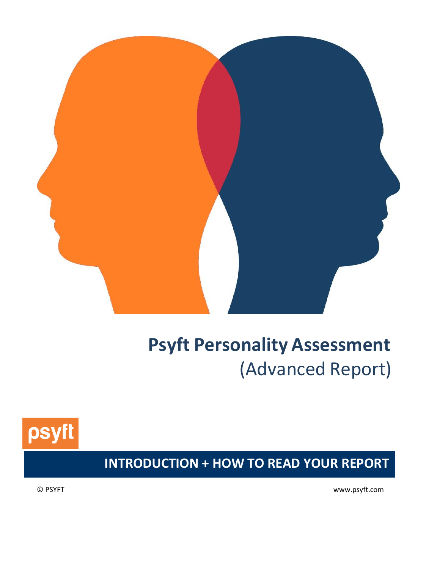

## **Psyft Personality Assessment** (Advanced Report)



**INTRODUCTION + HOW TO READ YOUR REPORT**

© PSYFT [www.psyft.com](http://www.psyft.com/)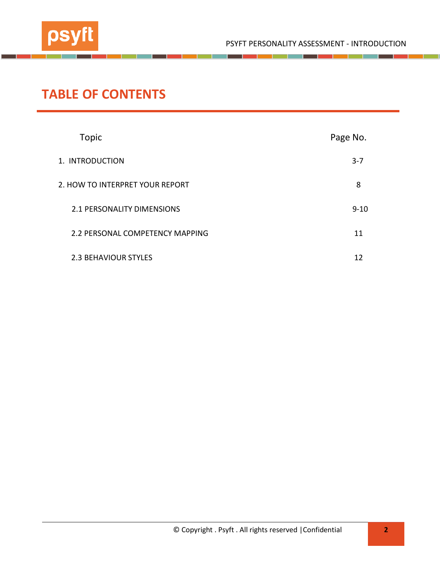

T.

г.

## **TABLE OF CONTENTS**

| Topic                           | Page No. |
|---------------------------------|----------|
| 1. INTRODUCTION                 | $3 - 7$  |
| 2. HOW TO INTERPRET YOUR REPORT | 8        |
| 2.1 PERSONALITY DIMENSIONS      | $9 - 10$ |
| 2.2 PERSONAL COMPETENCY MAPPING | 11       |
| <b>2.3 BEHAVIOUR STYLES</b>     | 12       |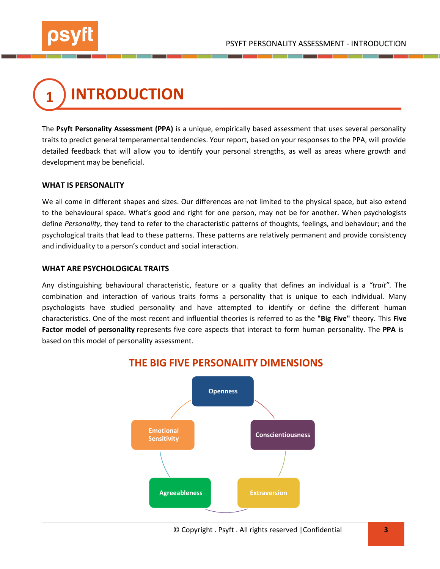

# **1 INTRODUCTION**

The **Psyft Personality Assessment (PPA)** is a unique, empirically based assessment that uses several personality traits to predict general temperamental tendencies. Your report, based on your responses to the PPA, will provide detailed feedback that will allow you to identify your personal strengths, as well as areas where growth and development may be beneficial.

#### **WHAT IS PERSONALITY**

We all come in different shapes and sizes. Our differences are not limited to the physical space, but also extend to the behavioural space. What's good and right for one person, may not be for another. When psychologists define *Personality*, they tend to refer to the characteristic patterns of thoughts, feelings, and behaviour; and the psychological traits that lead to these patterns. These patterns are relatively permanent and provide consistency and individuality to a person's conduct and social interaction.

#### **WHAT ARE PSYCHOLOGICAL TRAITS**

Any distinguishing behavioural characteristic, feature or a quality that defines an individual is a *"trait"*. The combination and interaction of various traits forms a personality that is unique to each individual. Many psychologists have studied personality and have attempted to identify or define the different human characteristics. One of the most recent and influential theories is referred to as the **"Big Five"** theory. This **Five Factor model of personality** represents five core aspects that interact to form human personality. The **PPA** is based on this model of personality assessment.



### **THE BIG FIVE PERSONALITY DIMENSIONS**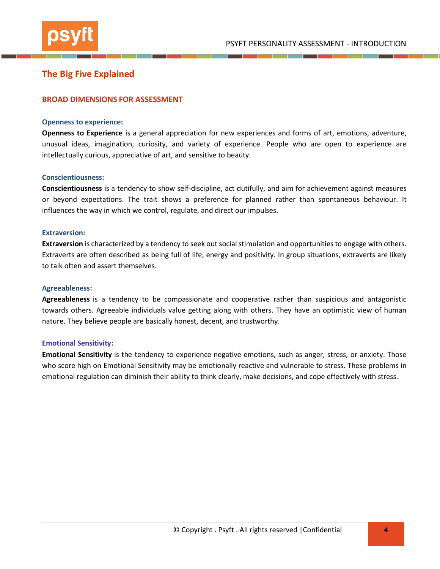#### **The Big Five Explained**

#### **BROAD DIMENSIONS FOR ASSESSMENT**

#### **Openness to experience:**

**Openness to Experience** is a general appreciation for new experiences and forms of art, emotions, adventure, unusual ideas, imagination, curiosity, and variety of experience. People who are open to experience are intellectually curious, appreciative of art, and sensitive to beauty.

#### **Conscientiousness:**

**Conscientiousness** is a tendency to show self-discipline, act dutifully, and aim for achievement against measures or beyond expectations. The trait shows a preference for planned rather than spontaneous behaviour. It influences the way in which we control, regulate, and direct our impulses.

#### **Extraversion:**

**Extraversion** is characterized by a tendency to seek out social stimulation and opportunities to engage with others. Extraverts are often described as being full of life, energy and positivity. In group situations, extraverts are likely to talk often and assert themselves.

#### **Agreeableness:**

**Agreeableness** is a tendency to be compassionate and cooperative rather than suspicious and antagonistic towards others. Agreeable individuals value getting along with others. They have an optimistic view of human nature. They believe people are basically honest, decent, and trustworthy.

#### **Emotional Sensitivity:**

**Emotional Sensitivity** is the tendency to experience negative emotions, such as anger, stress, or anxiety. Those who score high on Emotional Sensitivity may be emotionally reactive and vulnerable to stress. These problems in emotional regulation can diminish their ability to think clearly, make decisions, and cope effectively with stress.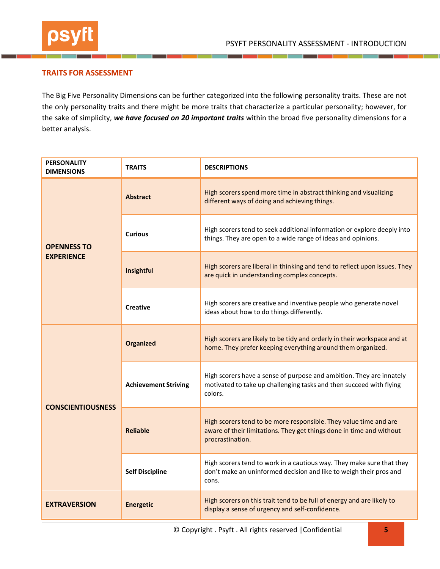psy

#### **TRAITS FOR ASSESSMENT**

The Big Five Personality Dimensions can be further categorized into the following personality traits. These are not the only personality traits and there might be more traits that characterize a particular personality; however, for the sake of simplicity, *we have focused on 20 important traits* within the broad five personality dimensions for a better analysis.

| <b>PERSONALITY</b><br><b>DIMENSIONS</b> | <b>TRAITS</b>               | <b>DESCRIPTIONS</b>                                                                                                                                           |
|-----------------------------------------|-----------------------------|---------------------------------------------------------------------------------------------------------------------------------------------------------------|
| <b>OPENNESS TO</b><br><b>EXPERIENCE</b> | <b>Abstract</b>             | High scorers spend more time in abstract thinking and visualizing<br>different ways of doing and achieving things.                                            |
|                                         | <b>Curious</b>              | High scorers tend to seek additional information or explore deeply into<br>things. They are open to a wide range of ideas and opinions.                       |
|                                         | Insightful                  | High scorers are liberal in thinking and tend to reflect upon issues. They<br>are quick in understanding complex concepts.                                    |
|                                         | <b>Creative</b>             | High scorers are creative and inventive people who generate novel<br>ideas about how to do things differently.                                                |
| <b>CONSCIENTIOUSNESS</b>                | <b>Organized</b>            | High scorers are likely to be tidy and orderly in their workspace and at<br>home. They prefer keeping everything around them organized.                       |
|                                         | <b>Achievement Striving</b> | High scorers have a sense of purpose and ambition. They are innately<br>motivated to take up challenging tasks and then succeed with flying<br>colors.        |
|                                         | <b>Reliable</b>             | High scorers tend to be more responsible. They value time and are<br>aware of their limitations. They get things done in time and without<br>procrastination. |
|                                         | <b>Self Discipline</b>      | High scorers tend to work in a cautious way. They make sure that they<br>don't make an uninformed decision and like to weigh their pros and<br>cons.          |
| <b>EXTRAVERSION</b>                     | <b>Energetic</b>            | High scorers on this trait tend to be full of energy and are likely to<br>display a sense of urgency and self-confidence.                                     |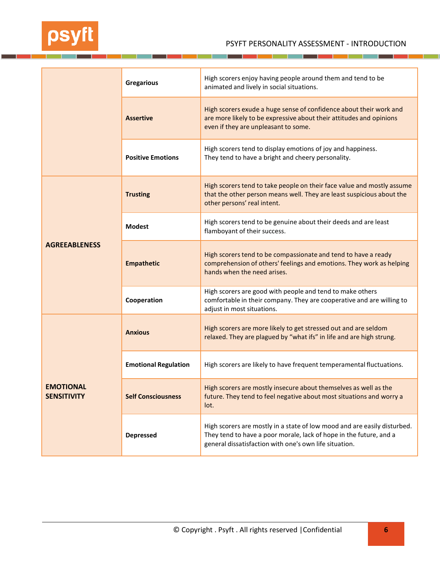

г

т

т

|                                        | <b>Gregarious</b>           | High scorers enjoy having people around them and tend to be<br>animated and lively in social situations.                                                                                                 |
|----------------------------------------|-----------------------------|----------------------------------------------------------------------------------------------------------------------------------------------------------------------------------------------------------|
|                                        | <b>Assertive</b>            | High scorers exude a huge sense of confidence about their work and<br>are more likely to be expressive about their attitudes and opinions<br>even if they are unpleasant to some.                        |
|                                        | <b>Positive Emotions</b>    | High scorers tend to display emotions of joy and happiness.<br>They tend to have a bright and cheery personality.                                                                                        |
| <b>AGREEABLENESS</b>                   | <b>Trusting</b>             | High scorers tend to take people on their face value and mostly assume<br>that the other person means well. They are least suspicious about the<br>other persons' real intent.                           |
|                                        | <b>Modest</b>               | High scorers tend to be genuine about their deeds and are least<br>flamboyant of their success.                                                                                                          |
|                                        | <b>Empathetic</b>           | High scorers tend to be compassionate and tend to have a ready<br>comprehension of others' feelings and emotions. They work as helping<br>hands when the need arises.                                    |
|                                        | Cooperation                 | High scorers are good with people and tend to make others<br>comfortable in their company. They are cooperative and are willing to<br>adjust in most situations.                                         |
| <b>EMOTIONAL</b><br><b>SENSITIVITY</b> | <b>Anxious</b>              | High scorers are more likely to get stressed out and are seldom<br>relaxed. They are plagued by "what ifs" in life and are high strung.                                                                  |
|                                        | <b>Emotional Regulation</b> | High scorers are likely to have frequent temperamental fluctuations.                                                                                                                                     |
|                                        | <b>Self Consciousness</b>   | High scorers are mostly insecure about themselves as well as the<br>future. They tend to feel negative about most situations and worry a<br>lot.                                                         |
|                                        | <b>Depressed</b>            | High scorers are mostly in a state of low mood and are easily disturbed.<br>They tend to have a poor morale, lack of hope in the future, and a<br>general dissatisfaction with one's own life situation. |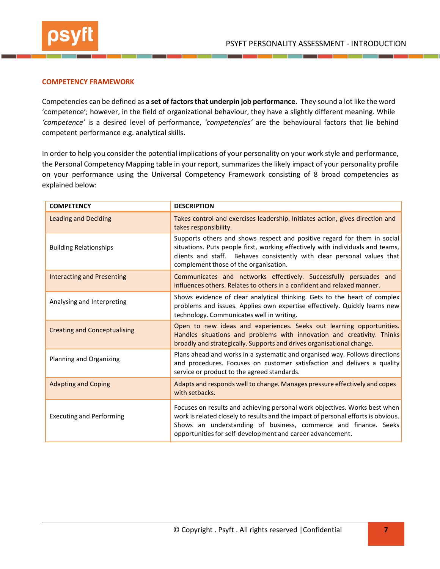

#### **COMPETENCY FRAMEWORK**

Competencies can be defined as **a set of factorsthat underpin job performance.** They sound a lot like the word 'competence'; however, in the field of organizational behaviour, they have a slightly different meaning. While *'competence'* is a desired level of performance, *'competencies'* are the behavioural factors that lie behind competent performance e.g. analytical skills.

In order to help you consider the potential implications of your personality on your work style and performance, the Personal Competency Mapping table in your report, summarizes the likely impact of your personality profile on your performance using the Universal Competency Framework consisting of 8 broad competencies as explained below:

| <b>COMPETENCY</b>                   | <b>DESCRIPTION</b>                                                                                                                                                                                                                                                                               |
|-------------------------------------|--------------------------------------------------------------------------------------------------------------------------------------------------------------------------------------------------------------------------------------------------------------------------------------------------|
| <b>Leading and Deciding</b>         | Takes control and exercises leadership. Initiates action, gives direction and<br>takes responsibility.                                                                                                                                                                                           |
| <b>Building Relationships</b>       | Supports others and shows respect and positive regard for them in social<br>situations. Puts people first, working effectively with individuals and teams,<br>clients and staff. Behaves consistently with clear personal values that<br>complement those of the organisation.                   |
| <b>Interacting and Presenting</b>   | Communicates and networks effectively. Successfully persuades and<br>influences others. Relates to others in a confident and relaxed manner.                                                                                                                                                     |
| Analysing and Interpreting          | Shows evidence of clear analytical thinking. Gets to the heart of complex<br>problems and issues. Applies own expertise effectively. Quickly learns new<br>technology. Communicates well in writing.                                                                                             |
| <b>Creating and Conceptualising</b> | Open to new ideas and experiences. Seeks out learning opportunities.<br>Handles situations and problems with innovation and creativity. Thinks<br>broadly and strategically. Supports and drives organisational change.                                                                          |
| Planning and Organizing             | Plans ahead and works in a systematic and organised way. Follows directions<br>and procedures. Focuses on customer satisfaction and delivers a quality<br>service or product to the agreed standards.                                                                                            |
| <b>Adapting and Coping</b>          | Adapts and responds well to change. Manages pressure effectively and copes<br>with setbacks.                                                                                                                                                                                                     |
| <b>Executing and Performing</b>     | Focuses on results and achieving personal work objectives. Works best when<br>work is related closely to results and the impact of personal efforts is obvious.<br>Shows an understanding of business, commerce and finance. Seeks<br>opportunities for self-development and career advancement. |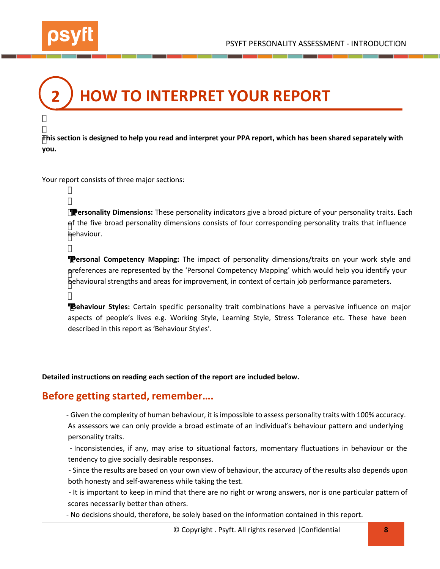. .



ľ ľ

ľ

j

ľ

## **2 HOW TO INTERPRET YOUR REPORT**

ľ **This section is designed to help you read and interpret your PPA report, which has been shared separately with you.**

Your report consists of three major sections:

**ͲPersonality Dimensions:** These personality indicators give a broad picture of your personality traits. Each of the five broad personality dimensions consists of four corresponding personality traits that influence behaviour.

**Personal Competency Mapping:** The impact of personality dimensions/traits on your work style and preferences are represented by the 'Personal Competency Mapping' which would help you identify your behavioural strengths and areas for improvement, in context of certain job performance parameters.

**Behaviour Styles:** Certain specific personality trait combinations have a pervasive influence on major aspects of people's lives e.g. Working Style, Learning Style, Stress Tolerance etc. These have been described in this report as 'Behaviour Styles'.

**Detailed instructions on reading each section of the report are included below.**

### **Before getting started, remember….**

 - Given the complexity of human behaviour, it is impossible to assess personality traits with 100% accuracy. As assessors we can only provide a broad estimate of an individual's behaviour pattern and underlying personality traits.

 - Inconsistencies, if any, may arise to situational factors, momentary fluctuations in behaviour or the tendency to give socially desirable responses.

 - Since the results are based on your own view of behaviour, the accuracy of the results also depends upon both honesty and self-awareness while taking the test.

 - It is important to keep in mind that there are no right or wrong answers, nor is one particular pattern of scores necessarily better than others.

- No decisions should, therefore, be solely based on the information contained in this report.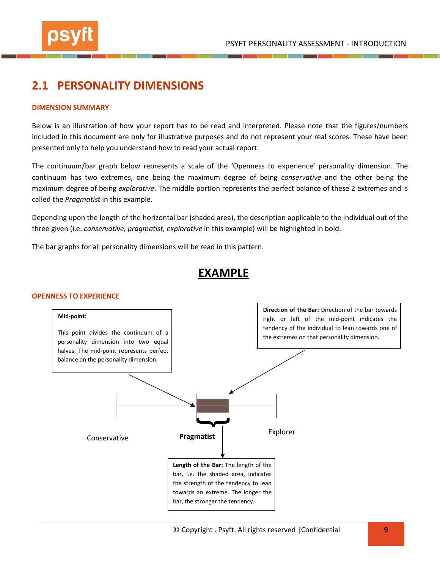## **2.1 PERSONALITY DIMENSIONS**

#### **DIMENSION SUMMARY**

Below is an illustration of how your report has to be read and interpreted. Please note that the figures/numbers included in this document are only for illustrative purposes and do not represent your real scores. These have been presented only to help you understand how to read your actual report.

The continuum/bar graph below represents a scale of the 'Openness to experience' personality dimension. The continuum has two extremes, one being the maximum degree of being *conservative* and the other being the maximum degree of being *explorative*. The middle portion represents the perfect balance of these 2 extremes and is called the *Pragmatist* in this example.

Depending upon the length of the horizontal bar (shaded area), the description applicable to the individual out of the three given (i.e. *conservative, pragmatist, explorative* in this example) will be highlighted in bold.

The bar graphs for all personality dimensions will be read in this pattern.



## **EXAMPLE**

#### **OPENNESS TO EXPERIENCE**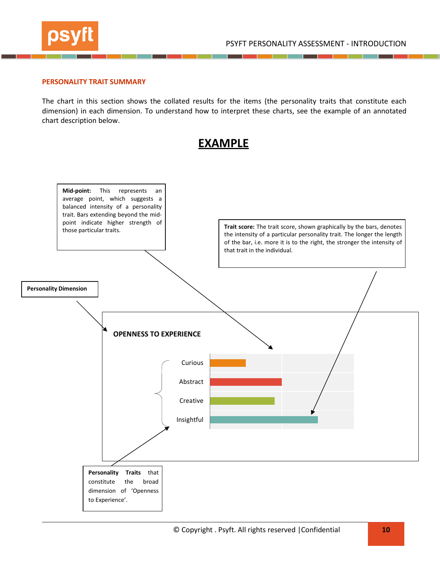

#### **PERSONALITY TRAIT SUMMARY**

The chart in this section shows the collated results for the items (the personality traits that constitute each dimension) in each dimension. To understand how to interpret these charts, see the example of an annotated chart description below.

## **EXAMPLE**

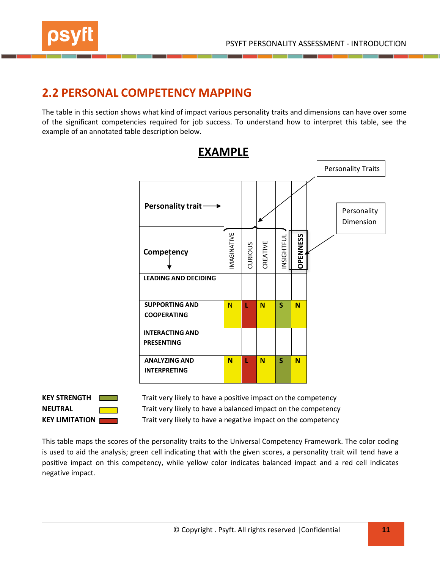

## **2.2 PERSONAL COMPETENCY MAPPING**

The table in this section shows what kind of impact various personality traits and dimensions can have over some of the significant competencies required for job success. To understand how to interpret this table, see the example of an annotated table description below.



**EXAMPLE**

**KEY STRENGTH Trait very likely to have a positive impact on the competency NEUTRAL** Trait very likely to have a balanced impact on the competency **KEY LIMITATION Trait very likely to have a negative impact on the competency** 

This table maps the scores of the personality traits to the Universal Competency Framework. The color coding is used to aid the analysis; green cell indicating that with the given scores, a personality trait will tend have a positive impact on this competency, while yellow color indicates balanced impact and a red cell indicates negative impact.